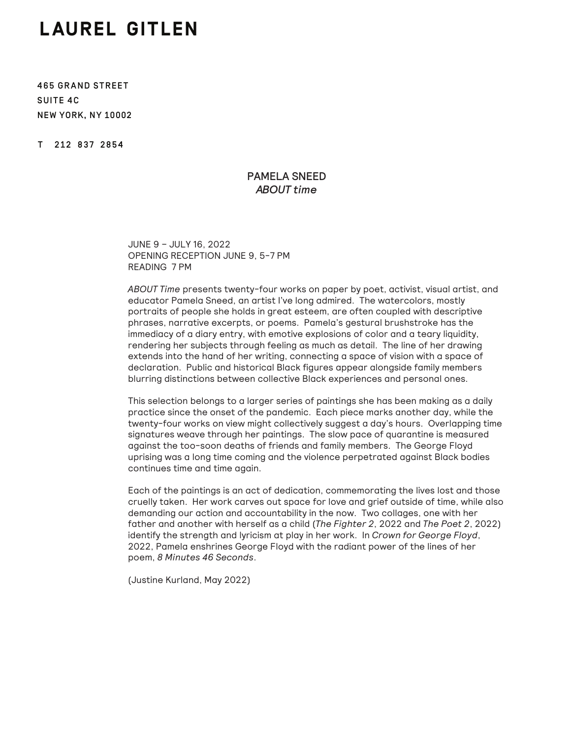## LAUREL GITLEN

465 GRAND STREET SUITE 4C NEW YORK, NY 10002

T 212 837 2854

## PAMELA SNEED *ABOUT time*

JUNE 9 – JULY 16, 2022 OPENING RECEPTION JUNE 9, 5-7 PM READING 7 PM

*ABOUT Time* presents twenty-four works on paper by poet, activist, visual artist, and educator Pamela Sneed, an artist I've long admired. The watercolors, mostly portraits of people she holds in great esteem, are often coupled with descriptive phrases, narrative excerpts, or poems. Pamela's gestural brushstroke has the immediacy of a diary entry, with emotive explosions of color and a teary liquidity, rendering her subjects through feeling as much as detail. The line of her drawing extends into the hand of her writing, connecting a space of vision with a space of declaration. Public and historical Black figures appear alongside family members blurring distinctions between collective Black experiences and personal ones.

This selection belongs to a larger series of paintings she has been making as a daily practice since the onset of the pandemic. Each piece marks another day, while the twenty-four works on view might collectively suggest a day's hours. Overlapping time signatures weave through her paintings. The slow pace of quarantine is measured against the too-soon deaths of friends and family members. The George Floyd uprising was a long time coming and the violence perpetrated against Black bodies continues time and time again.

Each of the paintings is an act of dedication, commemorating the lives lost and those cruelly taken. Her work carves out space for love and grief outside of time, while also demanding our action and accountability in the now. Two collages, one with her father and another with herself as a child (*The Fighter 2*, 2022 and *The Poet 2*, 2022) identify the strength and lyricism at play in her work. In *Crown for George Floyd*, 2022, Pamela enshrines George Floyd with the radiant power of the lines of her poem, *8 Minutes 46 Seconds*.

(Justine Kurland, May 2022)